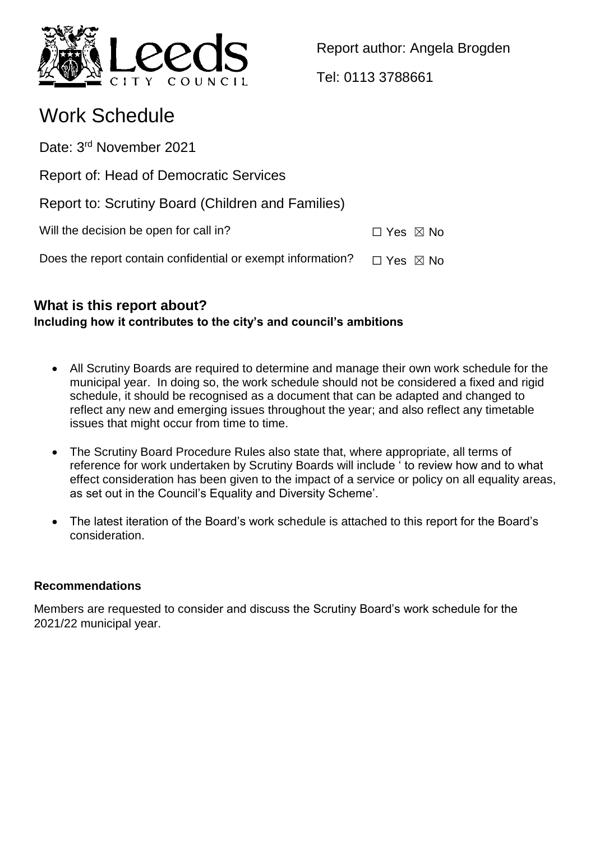

Report author: Angela Brogden

Tel: 0113 3788661

# Work Schedule

Date: 3<sup>rd</sup> November 2021

Report of: Head of Democratic Services

Report to: Scrutiny Board (Children and Families)

Will the decision be open for call in?  $\Box$  Yes  $\boxtimes$  No

Does the report contain confidential or exempt information?  $\Box$  Yes  $\boxtimes$  No

# **What is this report about? Including how it contributes to the city's and council's ambitions**

- All Scrutiny Boards are required to determine and manage their own work schedule for the municipal year. In doing so, the work schedule should not be considered a fixed and rigid schedule, it should be recognised as a document that can be adapted and changed to reflect any new and emerging issues throughout the year; and also reflect any timetable issues that might occur from time to time.
- The Scrutiny Board Procedure Rules also state that, where appropriate, all terms of reference for work undertaken by Scrutiny Boards will include ' to review how and to what effect consideration has been given to the impact of a service or policy on all equality areas, as set out in the Council's Equality and Diversity Scheme'.
- The latest iteration of the Board's work schedule is attached to this report for the Board's consideration.

# **Recommendations**

Members are requested to consider and discuss the Scrutiny Board's work schedule for the 2021/22 municipal year.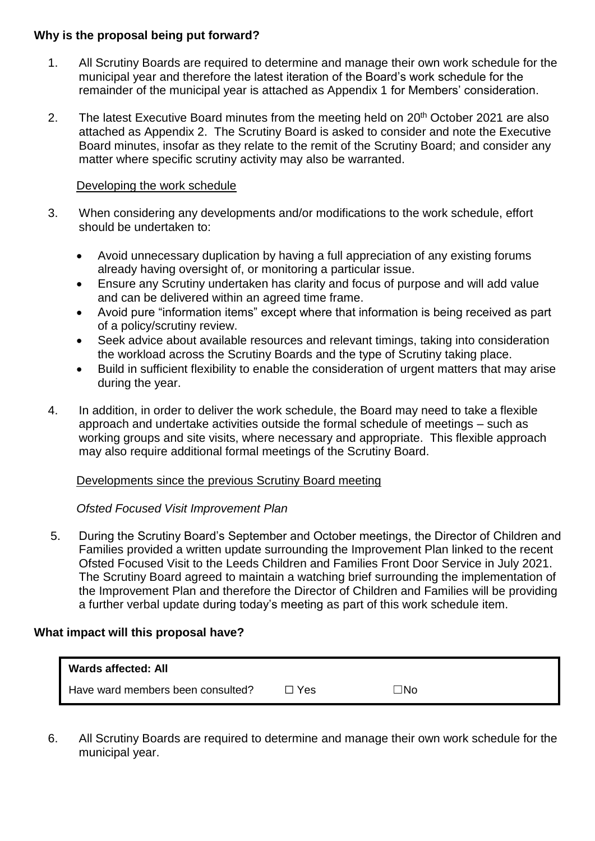#### **Why is the proposal being put forward?**

- 1. All Scrutiny Boards are required to determine and manage their own work schedule for the municipal year and therefore the latest iteration of the Board's work schedule for the remainder of the municipal year is attached as Appendix 1 for Members' consideration.
- 2. The latest Executive Board minutes from the meeting held on 20<sup>th</sup> October 2021 are also attached as Appendix 2. The Scrutiny Board is asked to consider and note the Executive Board minutes, insofar as they relate to the remit of the Scrutiny Board; and consider any matter where specific scrutiny activity may also be warranted.

#### Developing the work schedule

- 3. When considering any developments and/or modifications to the work schedule, effort should be undertaken to:
	- Avoid unnecessary duplication by having a full appreciation of any existing forums already having oversight of, or monitoring a particular issue.
	- Ensure any Scrutiny undertaken has clarity and focus of purpose and will add value and can be delivered within an agreed time frame.
	- Avoid pure "information items" except where that information is being received as part of a policy/scrutiny review.
	- Seek advice about available resources and relevant timings, taking into consideration the workload across the Scrutiny Boards and the type of Scrutiny taking place.
	- Build in sufficient flexibility to enable the consideration of urgent matters that may arise during the year.
- 4. In addition, in order to deliver the work schedule, the Board may need to take a flexible approach and undertake activities outside the formal schedule of meetings – such as working groups and site visits, where necessary and appropriate. This flexible approach may also require additional formal meetings of the Scrutiny Board.

#### Developments since the previous Scrutiny Board meeting

#### *Ofsted Focused Visit Improvement Plan*

5. During the Scrutiny Board's September and October meetings, the Director of Children and Families provided a written update surrounding the Improvement Plan linked to the recent Ofsted Focused Visit to the Leeds Children and Families Front Door Service in July 2021. The Scrutiny Board agreed to maintain a watching brief surrounding the implementation of the Improvement Plan and therefore the Director of Children and Families will be providing a further verbal update during today's meeting as part of this work schedule item.

#### **What impact will this proposal have?**

| Wards affected: All               |            |       |  |
|-----------------------------------|------------|-------|--|
| Have ward members been consulted? | $\Box$ Yes | ∵ INo |  |

6. All Scrutiny Boards are required to determine and manage their own work schedule for the municipal year.